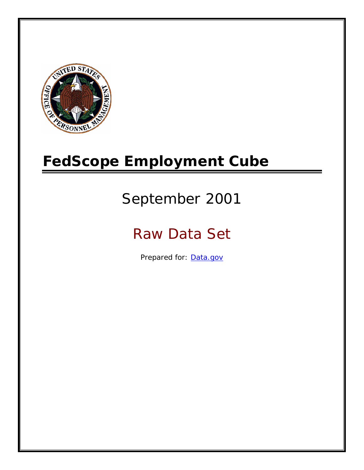

# **FedScope Employment Cube**

# September 2001

# Raw Data Set

Prepared for: [Data.gov](http://www.data.gov/)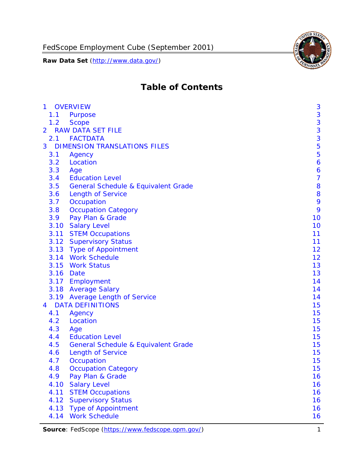

# **Table of Contents**

| $\mathbf{1}$ | <b>OVERVIEW</b>                                | 3              |
|--------------|------------------------------------------------|----------------|
| 1.1          | Purpose                                        | 3              |
| 1.2          | <b>Scope</b>                                   | 3              |
| 2            | <b>RAW DATA SET FILE</b>                       | 3              |
| 2.1          | <b>FACTDATA</b>                                | 3              |
| 3            | <b>DIMENSION TRANSLATIONS FILES</b>            | 5              |
| 3.1          | Agency                                         | 5              |
| 3.2          | Location                                       | 6              |
| 3.3          | Age                                            | 6              |
| 3.4          | <b>Education Level</b>                         | $\overline{7}$ |
| 3.5          | <b>General Schedule &amp; Equivalent Grade</b> | 8              |
| 3.6          | <b>Length of Service</b>                       | 8              |
| 3.7          | Occupation                                     | 9              |
| 3.8          | <b>Occupation Category</b>                     | 9              |
| 3.9          | Pay Plan & Grade                               | 10             |
| 3.10         | <b>Salary Level</b>                            | 10             |
|              | 3.11 STEM Occupations                          | 11             |
|              | 3.12 Supervisory Status                        | 11             |
|              | 3.13 Type of Appointment                       | 12             |
|              | 3.14 Work Schedule                             | 12             |
| 3.15         | <b>Work Status</b>                             | 13             |
|              | 3.16 Date                                      | 13             |
|              | 3.17 Employment                                | 14             |
|              | 3.18 Average Salary                            | 14             |
|              | 3.19 Average Length of Service                 | 14             |
| 4            | <b>DATA DEFINITIONS</b>                        | 15             |
| 4.1          | Agency                                         | 15             |
| 4.2          | Location                                       | 15             |
| 4.3          | Age                                            | 15             |
| 4.4          | <b>Education Level</b>                         | 15             |
| 4.5          | <b>General Schedule &amp; Equivalent Grade</b> | 15             |
| 4.6          | <b>Length of Service</b>                       | 15             |
| 4.7          | Occupation                                     | 15             |
| 4.8          | <b>Occupation Category</b>                     | 15             |
| 4.9          | Pay Plan & Grade                               | 16             |
| 4.10         | <b>Salary Level</b>                            | 16             |
| 4.11         | <b>STEM Occupations</b>                        | 16             |
| 4.12         | <b>Supervisory Status</b>                      | 16             |
| 4.13         | <b>Type of Appointment</b>                     | 16             |
| 4.14         | <b>Work Schedule</b>                           | 16             |

Source: FedScope (https://www.fedscope.opm.gov/) 1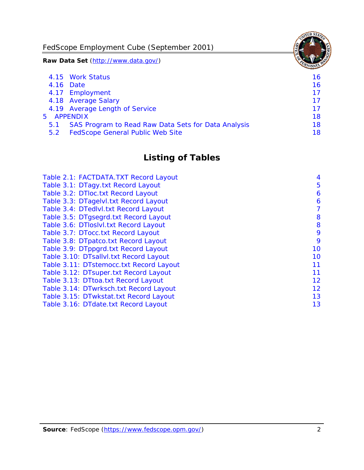FedScope Employment Cube (September 2001)

**Raw Data Set** (http://www.data.gov/)

|               | 4.15 Work Status                                    | 16 |
|---------------|-----------------------------------------------------|----|
|               | 4.16 Date                                           | 16 |
|               | 4.17 Employment                                     | 17 |
|               | 4.18 Average Salary                                 | 17 |
|               | 4.19 Average Length of Service                      | 17 |
|               | 5 APPENDIX                                          | 18 |
| 5.1           | SAS Program to Read Raw Data Sets for Data Analysis | 18 |
| $5.2^{\circ}$ | <b>FedScope General Public Web Site</b>             | 18 |

# **Listing of Tables**

| Table 2.1: FACTDATA.TXT Record Layout   | 4  |
|-----------------------------------------|----|
| Table 3.1: DTagy.txt Record Layout      | 5  |
| Table 3.2: DTloc.txt Record Layout      | 6  |
| Table 3.3: DTagelvl.txt Record Layout   | 6  |
| Table 3.4: DTedlvl.txt Record Layout    | 7  |
| Table 3.5: DTgsegrd.txt Record Layout   | 8  |
| Table 3.6: DTIoslyl.txt Record Layout   | 8  |
| Table 3.7: DTocc.txt Record Layout      | 9  |
| Table 3.8: DTpatco.txt Record Layout    | 9  |
| Table 3.9: DTppgrd.txt Record Layout    | 10 |
| Table 3.10: DTsallvl.txt Record Layout  | 10 |
| Table 3.11: DTstemocc.txt Record Layout | 11 |
| Table 3.12: DTsuper.txt Record Layout   | 11 |
| Table 3.13: DTtoa.txt Record Layout     | 12 |
| Table 3.14: DTwrksch.txt Record Layout  | 12 |
| Table 3.15: DTwkstat.txt Record Layout  | 13 |
| Table 3.16: DTdate.txt Record Layout    | 13 |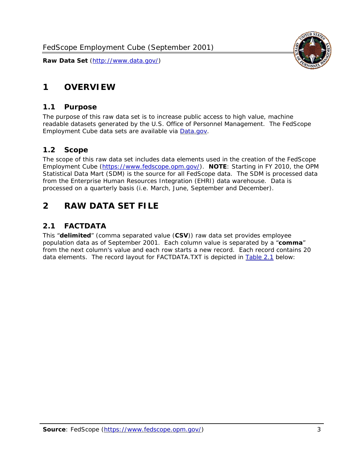# <span id="page-3-0"></span>**1 OVERVIEW**

#### *1.1 Purpose*

<span id="page-3-1"></span>The purpose of this raw data set is to increase public access to high value, machine readable datasets generated by the U.S. Office of Personnel Management. The FedScope Employment Cube data sets are available via [Data.gov](http://www.data.gov/).

## <span id="page-3-2"></span>*1.2 Scope*

The scope of this raw data set includes data elements used in the creation of the FedScope Employment Cube [\(https://www.fedscope.opm.gov/\)](https://www.fedscope.opm.gov/). **NOTE**: Starting in FY 2010, the OPM Statistical Data Mart (SDM) is the source for all FedScope data. The SDM is processed data from the Enterprise Human Resources Integration (EHRI) data warehouse. Data is processed on a quarterly basis (i.e. March, June, September and December).

# <span id="page-3-3"></span>**2 RAW DATA SET FILE**

## <span id="page-3-4"></span>*2.1 FACTDATA*

This "**delimited**" (comma separated value (**CSV**)) raw data set provides employee population data as of September 2001. Each column value is separated by a "**comma**" from the next column's value and each row starts a new record. Each record contains 20 data elements. The record layout for FACTDATA.TXT is depicted in [Table 2.1](#page-4-1) below:

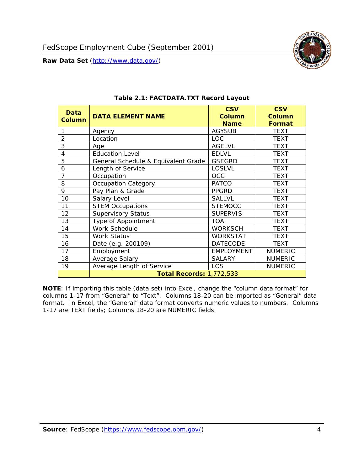<span id="page-4-1"></span><span id="page-4-0"></span>

**NOTE**: If importing this table (data set) into Excel, change the "column data format" for columns 1-17 from "General" to "Text". Columns 18-20 can be imported as "General" data format. In Excel, the "General" data format converts numeric values to numbers. Columns 1-17 are TEXT fields; Columns 18-20 are NUMERIC fields.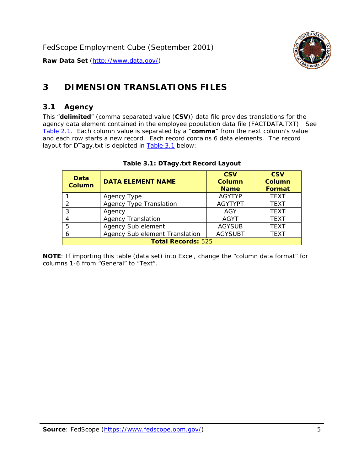

# <span id="page-5-0"></span>**3 DIMENSION TRANSLATIONS FILES**

#### <span id="page-5-1"></span>*3.1 Agency*

<span id="page-5-3"></span><span id="page-5-2"></span>This "**delimited**" (comma separated value (**CSV**)) data file provides translations for the agency data element contained in the employee population data file (FACTDATA.TXT). See [Table 2.1.](#page-4-1) Each column value is separated by a "**comma**" from the next column's value and each row starts a new record. Each record contains 6 data elements. The record layout for DTagy.txt is depicted in [Table 3.1](#page-5-3) below:

| Data<br>Column            | <b>DATA ELEMENT NAME</b>       | <b>CSV</b><br><b>Column</b><br><b>Name</b> | <b>CSV</b><br>Column<br><b>Format</b> |
|---------------------------|--------------------------------|--------------------------------------------|---------------------------------------|
|                           | Agency Type                    | <b>AGYTYP</b>                              | <b>TEXT</b>                           |
|                           | <b>Agency Type Translation</b> | <b>AGYTYPT</b>                             | <b>TEXT</b>                           |
| 3                         | Agency                         | AGY                                        | <b>TEXT</b>                           |
|                           | <b>Agency Translation</b>      | <b>AGYT</b>                                | <b>TEXT</b>                           |
| -5                        | Agency Sub element             | <b>AGYSUB</b>                              | <b>TEXT</b>                           |
|                           | Agency Sub element Translation | <b>AGYSUBT</b>                             | <b>TEXT</b>                           |
| <b>Total Records: 525</b> |                                |                                            |                                       |

#### **Table 3.1: DTagy.txt Record Layout**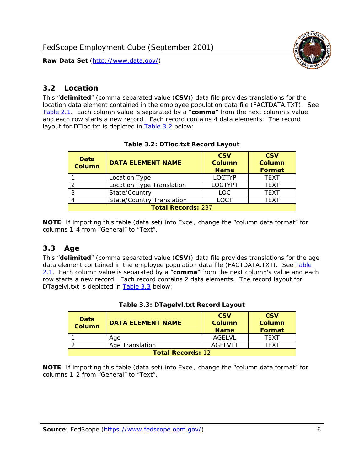

#### <span id="page-6-0"></span>*3.2 Location*

<span id="page-6-4"></span><span id="page-6-2"></span>This "**delimited**" (comma separated value (**CSV**)) data file provides translations for the location data element contained in the employee population data file (FACTDATA.TXT). See [Table 2.1.](#page-4-1) Each column value is separated by a "**comma**" from the next column's value and each row starts a new record. Each record contains 4 data elements. The record layout for DTloc.txt is depicted in [Table 3.2](#page-6-4) below:

| Data<br><b>Column</b>     | <b>DATA ELEMENT NAME</b>         | <b>CSV</b><br>Column<br><b>Name</b> | <b>CSV</b><br><b>Column</b><br><b>Format</b> |
|---------------------------|----------------------------------|-------------------------------------|----------------------------------------------|
|                           | Location Type                    | <b>LOCTYP</b>                       | <b>TEXT</b>                                  |
|                           | Location Type Translation        | <b>LOCTYPT</b>                      | <b>TEXT</b>                                  |
| ົ                         | State/Country                    | <b>LOC</b>                          | <b>TFXT</b>                                  |
|                           | <b>State/Country Translation</b> | LOCT                                | <b>TFXT</b>                                  |
| <b>Total Records: 237</b> |                                  |                                     |                                              |

#### **Table 3.2: DTloc.txt Record Layout**

**NOTE**: If importing this table (data set) into Excel, change the "column data format" for columns 1-4 from "General" to "Text".

#### <span id="page-6-1"></span>*3.3 Age*

<span id="page-6-5"></span><span id="page-6-3"></span>This "**delimited**" (comma separated value (**CSV**)) data file provides translations for the age data element contained in the employee population data file (FACTDATA.TXT). See [Table](#page-4-1) [2.1](#page-4-1). Each column value is separated by a "**comma**" from the next column's value and each row starts a new record. Each record contains 2 data elements. The record layout for DTagelvl.txt is depicted in **[Table 3.3](#page-6-5)** below:

| Data<br><b>Column</b>    | <b>DATA ELEMENT NAME</b> | <b>CSV</b><br>Column<br><b>Name</b> | <b>CSV</b><br>Column<br>Format |
|--------------------------|--------------------------|-------------------------------------|--------------------------------|
|                          | Aae                      | AGFI VI                             | TFXT                           |
|                          | Age Translation          | AGFI VI T                           | TFXT                           |
| <b>Total Records: 12</b> |                          |                                     |                                |

#### **Table 3.3: DTagelvl.txt Record Layout**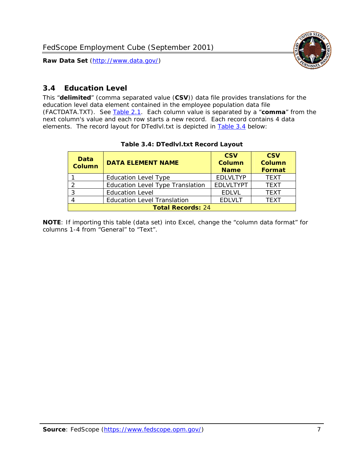

### <span id="page-7-0"></span>*3.4 Education Level*

<span id="page-7-2"></span><span id="page-7-1"></span>This "**delimited**" (comma separated value (**CSV**)) data file provides translations for the education level data element contained in the employee population data file (FACTDATA.TXT). See [Table 2.1](#page-4-1). Each column value is separated by a "**comma**" from the next column's value and each row starts a new record. Each record contains 4 data elements. The record layout for DTedlvl.txt is depicted in [Table 3.4](#page-7-2) below:

| Data<br><b>Column</b>    | <b>DATA ELEMENT NAME</b>                | <b>CSV</b><br><b>Column</b><br><b>Name</b> | <b>CSV</b><br><b>Column</b><br><b>Format</b> |
|--------------------------|-----------------------------------------|--------------------------------------------|----------------------------------------------|
|                          | <b>Education Level Type</b>             | <b>EDLVLTYP</b>                            | <b>TEXT</b>                                  |
|                          | <b>Education Level Type Translation</b> | <b>EDLVLTYPT</b>                           | <b>TEXT</b>                                  |
|                          | <b>Education Level</b>                  | <b>EDLVL</b>                               | <b>TEXT</b>                                  |
|                          | <b>Education Level Translation</b>      | <b>EDLVLT</b>                              | <b>TEXT</b>                                  |
| <b>Total Records: 24</b> |                                         |                                            |                                              |

#### **Table 3.4: DTedlvl.txt Record Layout**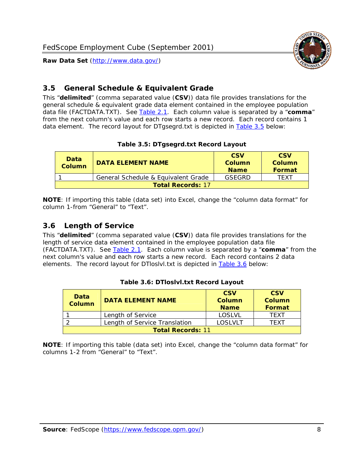

<span id="page-8-0"></span>

This "**delimited**" (comma separated value (**CSV**)) data file provides translations for the general schedule & equivalent grade data element contained in the employee population data file (FACTDATA.TXT). See [Table 2.1](#page-4-1). Each column value is separated by a "**comma**" from the next column's value and each row starts a new record. Each record contains 1 data element. The record layout for DTgsegrd.txt is depicted in [Table 3.5](#page-8-4) below:

#### **Table 3.5: DTgsegrd.txt Record Layout**

<span id="page-8-4"></span><span id="page-8-2"></span>

| Data<br>Column           | <b>DATA ELEMENT NAME</b>            | <b>CSV</b><br>Column<br><b>Name</b> | <b>CSV</b><br>Column<br><b>Format</b> |
|--------------------------|-------------------------------------|-------------------------------------|---------------------------------------|
|                          | General Schedule & Equivalent Grade | GSFGRD                              | <b>TFXT</b>                           |
| <b>Total Records: 17</b> |                                     |                                     |                                       |

**NOTE**: If importing this table (data set) into Excel, change the "column data format" for column 1-from "General" to "Text".

#### <span id="page-8-1"></span>*3.6 Length of Service*

<span id="page-8-5"></span><span id="page-8-3"></span>This "**delimited**" (comma separated value (**CSV**)) data file provides translations for the length of service data element contained in the employee population data file (FACTDATA.TXT). See [Table 2.1](#page-4-1). Each column value is separated by a "**comma**" from the next column's value and each row starts a new record. Each record contains 2 data elements. The record layout for DTloslvl.txt is depicted in [Table 3.6](#page-8-5) below:

| <b>Data</b><br>Column    | <b>DATA FI FMFNT NAMF</b>     | <b>CSV</b><br>Column<br><b>Name</b> | <b>CSV</b><br>Column<br>Format |
|--------------------------|-------------------------------|-------------------------------------|--------------------------------|
|                          | Length of Service             | LOSLVL                              | TFXT                           |
|                          | Length of Service Translation | LOSI VLT                            | TFXT                           |
| <b>Total Records: 11</b> |                               |                                     |                                |

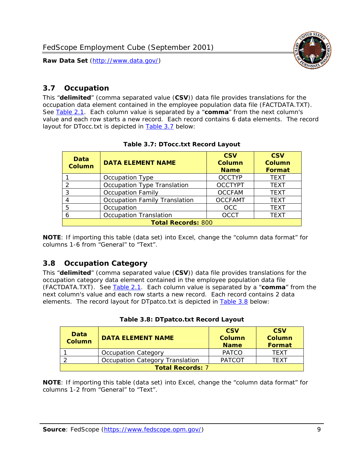

#### <span id="page-9-0"></span>*3.7 Occupation*

<span id="page-9-4"></span>This "**delimited**" (comma separated value (**CSV**)) data file provides translations for the occupation data element contained in the employee population data file (FACTDATA.TXT). See [Table 2.1](#page-4-1). Each column value is separated by a "**comma**" from the next column's value and each row starts a new record. Each record contains 6 data elements. The record layout for DTocc.txt is depicted in [Table 3.7](#page-9-4) below:

<span id="page-9-2"></span>

| Data<br><b>Column</b>     | <b>DATA ELEMENT NAME</b>             | <b>CSV</b><br>Column<br><b>Name</b> | <b>CSV</b><br>Column<br><b>Format</b> |
|---------------------------|--------------------------------------|-------------------------------------|---------------------------------------|
|                           | Occupation Type                      | <b>OCCTYP</b>                       | <b>TEXT</b>                           |
|                           | Occupation Type Translation          | <b>OCCTYPT</b>                      | <b>TEXT</b>                           |
| 2                         | <b>Occupation Family</b>             | <b>OCCFAM</b>                       | <b>TEXT</b>                           |
|                           | <b>Occupation Family Translation</b> | <b>OCCFAMT</b>                      | <b>TEXT</b>                           |
| 5                         | Occupation                           | <b>OCC</b>                          | <b>TEXT</b>                           |
|                           | <b>Occupation Translation</b>        | <b>OCCT</b>                         | <b>TEXT</b>                           |
| <b>Total Records: 800</b> |                                      |                                     |                                       |

#### **Table 3.7: DTocc.txt Record Layout**

**NOTE**: If importing this table (data set) into Excel, change the "column data format" for columns 1-6 from "General" to "Text".

#### <span id="page-9-1"></span>*3.8 Occupation Category*

<span id="page-9-5"></span>This "**delimited**" (comma separated value (**CSV**)) data file provides translations for the occupation category data element contained in the employee population data file (FACTDATA.TXT). See [Table 2.1](#page-4-1). Each column value is separated by a "**comma**" from the next column's value and each row starts a new record. Each record contains 2 data elements. The record layout for DTpatco.txt is depicted in [Table 3.8](#page-9-5) below:

<span id="page-9-3"></span>

| Data<br><b>Column</b>   | <b>DATA ELEMENT NAME</b>        | <b>CSV</b><br>Column<br><b>Name</b> | <b>CSV</b><br>Column<br>Format |
|-------------------------|---------------------------------|-------------------------------------|--------------------------------|
|                         | <b>Occupation Category</b>      | <b>PATCO</b>                        | <b>TFXT</b>                    |
|                         | Occupation Category Translation | <b>PATCOT</b>                       | TFXT                           |
| <b>Total Records: 7</b> |                                 |                                     |                                |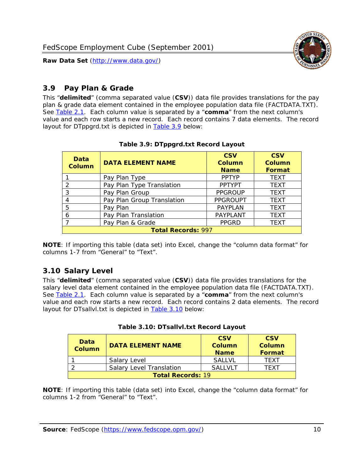

#### <span id="page-10-0"></span>*3.9 Pay Plan & Grade*

<span id="page-10-4"></span>This "**delimited**" (comma separated value (**CSV**)) data file provides translations for the pay plan & grade data element contained in the employee population data file (FACTDATA.TXT). See [Table 2.1](#page-4-1). Each column value is separated by a "**comma**" from the next column's value and each row starts a new record. Each record contains 7 data elements. The record layout for DTppgrd.txt is depicted in **Table 3.9** below:

<span id="page-10-2"></span>

| Data<br>Column            | <b>DATA ELEMENT NAME</b>   | <b>CSV</b><br>Column<br><b>Name</b> | <b>CSV</b><br><b>Column</b><br><b>Format</b> |  |
|---------------------------|----------------------------|-------------------------------------|----------------------------------------------|--|
|                           | Pay Plan Type              | <b>PPTYP</b>                        | <b>TEXT</b>                                  |  |
| $\mathcal{P}$             | Pay Plan Type Translation  | <b>PPTYPT</b>                       | <b>TEXT</b>                                  |  |
| 3                         | Pay Plan Group             | <b>PPGROUP</b>                      | <b>TEXT</b>                                  |  |
| 4                         | Pay Plan Group Translation | <b>PPGROUPT</b>                     | <b>TEXT</b>                                  |  |
| 5                         | Pay Plan                   | <b>PAYPLAN</b>                      | <b>TEXT</b>                                  |  |
| 6                         | Pay Plan Translation       | PAYPLANT                            | <b>TEXT</b>                                  |  |
|                           | Pay Plan & Grade           | <b>PPGRD</b>                        | <b>TEXT</b>                                  |  |
| <b>Total Records: 997</b> |                            |                                     |                                              |  |

#### **Table 3.9: DTppgrd.txt Record Layout**

**NOTE**: If importing this table (data set) into Excel, change the "column data format" for columns 1-7 from "General" to "Text".

## <span id="page-10-1"></span>*3.10 Salary Level*

<span id="page-10-5"></span><span id="page-10-3"></span>This "**delimited**" (comma separated value (**CSV**)) data file provides translations for the salary level data element contained in the employee population data file (FACTDATA.TXT). See [Table 2.1](#page-4-1). Each column value is separated by a "**comma**" from the next column's value and each row starts a new record. Each record contains 2 data elements. The record layout for DTsallvl.txt is depicted in [Table 3.10](#page-10-5) below:

| <b>Data</b><br><b>Column</b> | <b>DATA ELEMENT NAME</b>        | <b>CSV</b><br>Column<br><b>Name</b> | <b>CSV</b><br>Column<br><b>Format</b> |
|------------------------------|---------------------------------|-------------------------------------|---------------------------------------|
|                              | Salary Level                    | <b>SALLVL</b>                       | TFXT                                  |
|                              | <b>Salary Level Translation</b> | SAI I VI T                          | TEXT                                  |
| <b>Total Records: 19</b>     |                                 |                                     |                                       |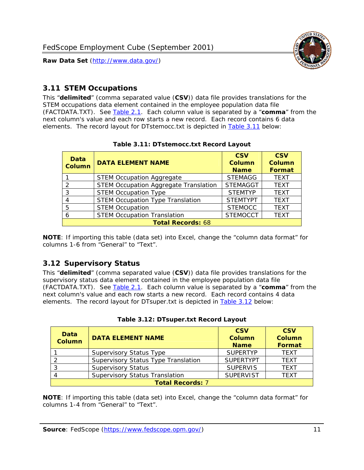

#### <span id="page-11-0"></span>*3.11 STEM Occupations*

<span id="page-11-4"></span>This "**delimited**" (comma separated value (**CSV**)) data file provides translations for the STEM occupations data element contained in the employee population data file (FACTDATA.TXT). See [Table 2.1](#page-4-1). Each column value is separated by a "**comma**" from the next column's value and each row starts a new record. Each record contains 6 data elements. The record layout for DTstemocc.txt is depicted in [Table 3.11](#page-11-4) below:

<span id="page-11-2"></span>

| <b>Data</b><br><b>Column</b> | <b>DATA ELEMENT NAME</b>                     | <b>CSV</b><br>Column<br><b>Name</b> | <b>CSV</b><br><b>Column</b><br><b>Format</b> |  |
|------------------------------|----------------------------------------------|-------------------------------------|----------------------------------------------|--|
|                              | <b>STEM Occupation Aggregate</b>             | <b>STEMAGG</b>                      | <b>TEXT</b>                                  |  |
|                              | <b>STEM Occupation Aggregate Translation</b> | <b>STEMAGGT</b>                     | <b>TEXT</b>                                  |  |
| 3                            | <b>STEM Occupation Type</b>                  | <b>STEMTYP</b>                      | <b>TEXT</b>                                  |  |
|                              | <b>STEM Occupation Type Translation</b>      | <b>STEMTYPT</b>                     | <b>TEXT</b>                                  |  |
| 5                            | <b>STEM Occupation</b>                       | <b>STEMOCC</b>                      | <b>TEXT</b>                                  |  |
|                              | <b>STEM Occupation Translation</b>           | <b>STEMOCCT</b>                     | <b>TEXT</b>                                  |  |
| <b>Total Records: 68</b>     |                                              |                                     |                                              |  |

#### **Table 3.11: DTstemocc.txt Record Layout**

**NOTE**: If importing this table (data set) into Excel, change the "column data format" for columns 1-6 from "General" to "Text".

# <span id="page-11-1"></span>*3.12 Supervisory Status*

This "**delimited**" (comma separated value (**CSV**)) data file provides translations for the supervisory status data element contained in the employee population data file (FACTDATA.TXT). See [Table 2.1](#page-4-1). Each column value is separated by a "**comma**" from the next column's value and each row starts a new record. Each record contains 4 data elements. The record layout for DTsuper.txt is depicted in [Table 3.12](#page-11-5) below:

<span id="page-11-5"></span><span id="page-11-3"></span>

| Data<br><b>Column</b>   | <b>DATA ELEMENT NAME</b>              | <b>CSV</b><br>Column<br><b>Name</b> | <b>CSV</b><br><b>Column</b><br>Format |  |
|-------------------------|---------------------------------------|-------------------------------------|---------------------------------------|--|
|                         | <b>Supervisory Status Type</b>        | <b>SUPFRTYP</b>                     | <b>TEXT</b>                           |  |
|                         | Supervisory Status Type Translation   | <b>SUPERTYPT</b>                    | <b>TEXT</b>                           |  |
|                         | <b>Supervisory Status</b>             | <b>SUPERVIS</b>                     | <b>TEXT</b>                           |  |
|                         | <b>Supervisory Status Translation</b> | <b>SUPERVIST</b>                    | <b>TEXT</b>                           |  |
| <b>Total Records: 7</b> |                                       |                                     |                                       |  |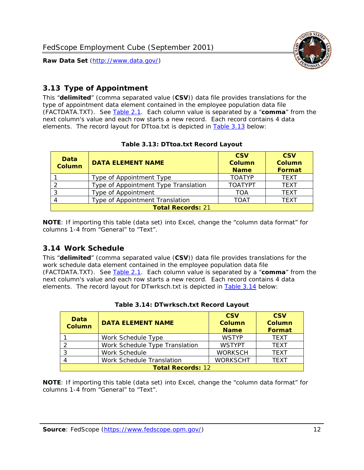

### <span id="page-12-0"></span>*3.13 Type of Appointment*

This "**delimited**" (comma separated value (**CSV**)) data file provides translations for the type of appointment data element contained in the employee population data file (FACTDATA.TXT). See [Table 2.1](#page-4-1). Each column value is separated by a "**comma**" from the next column's value and each row starts a new record. Each record contains 4 data elements. The record layout for DTtoa.txt is depicted in [Table 3.13](#page-12-4) below:

<span id="page-12-4"></span><span id="page-12-2"></span>

| Data<br><b>Column</b>    | <b>DATA ELEMENT NAME</b>             | <b>CSV</b><br><b>Column</b><br><b>Name</b> | <b>CSV</b><br><b>Column</b><br><b>Format</b> |  |
|--------------------------|--------------------------------------|--------------------------------------------|----------------------------------------------|--|
|                          | Type of Appointment Type             | <b>TOATYP</b>                              | <b>TFXT</b>                                  |  |
|                          | Type of Appointment Type Translation | <b>TOATYPT</b>                             | <b>TEXT</b>                                  |  |
|                          | Type of Appointment                  | <b>TOA</b>                                 | <b>TEXT</b>                                  |  |
|                          | Type of Appointment Translation      | <b>TOAT</b>                                | <b>TFXT</b>                                  |  |
| <b>Total Records: 21</b> |                                      |                                            |                                              |  |

#### **Table 3.13: DTtoa.txt Record Layout**

**NOTE**: If importing this table (data set) into Excel, change the "column data format" for columns 1-4 from "General" to "Text".

#### <span id="page-12-1"></span>*3.14 Work Schedule*

<span id="page-12-5"></span>This "**delimited**" (comma separated value (**CSV**)) data file provides translations for the work schedule data element contained in the employee population data file (FACTDATA.TXT). See [Table 2.1](#page-4-1). Each column value is separated by a "**comma**" from the next column's value and each row starts a new record. Each record contains 4 data elements. The record layout for DTwrksch.txt is depicted in [Table 3.14](#page-12-5) below:

<span id="page-12-3"></span>

| Data<br>Column           | <b>DATA ELEMENT NAME</b>       | <b>CSV</b><br><b>Column</b><br><b>Name</b> | <b>CSV</b><br>Column<br>Format |  |
|--------------------------|--------------------------------|--------------------------------------------|--------------------------------|--|
|                          | Work Schedule Type             | <b>WSTYP</b>                               | <b>TEXT</b>                    |  |
| 2                        | Work Schedule Type Translation | <b>WSTYPT</b>                              | <b>TFXT</b>                    |  |
| 3                        | Work Schedule                  | <b>WORKSCH</b>                             | <b>TFXT</b>                    |  |
|                          | Work Schedule Translation      | <b>WORKSCHT</b>                            | <b>TFXT</b>                    |  |
| <b>Total Records: 12</b> |                                |                                            |                                |  |

|  | Table 3.14: DTwrksch.txt Record Layout |  |  |
|--|----------------------------------------|--|--|
|  |                                        |  |  |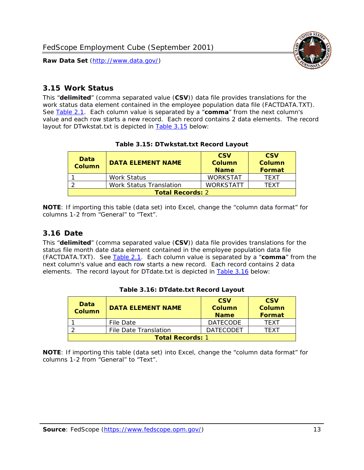

#### <span id="page-13-0"></span>*3.15 Work Status*

<span id="page-13-4"></span><span id="page-13-2"></span>This "**delimited**" (comma separated value (**CSV**)) data file provides translations for the work status data element contained in the employee population data file (FACTDATA.TXT). See [Table 2.1](#page-4-1). Each column value is separated by a "**comma**" from the next column's value and each row starts a new record. Each record contains 2 data elements. The record layout for DTwkstat.txt is depicted in [Table 3.15](#page-13-4) below:

| Data<br><b>Column</b>   | <b>DATA ELEMENT NAME</b> | <b>CSV</b><br>Column<br><b>Name</b> | <b>CSV</b><br>Column<br><b>Format</b> |
|-------------------------|--------------------------|-------------------------------------|---------------------------------------|
|                         | Work Status              | <b>WORKSTAT</b>                     | TFXT                                  |
|                         | Work Status Translation  | <b>WORKSTATT</b>                    | TFXT                                  |
| <b>Total Records: 2</b> |                          |                                     |                                       |

#### **Table 3.15: DTwkstat.txt Record Layout**

**NOTE**: If importing this table (data set) into Excel, change the "column data format" for columns 1-2 from "General" to "Text".

#### <span id="page-13-1"></span>*3.16 Date*

<span id="page-13-5"></span><span id="page-13-3"></span>This "**delimited**" (comma separated value (**CSV**)) data file provides translations for the status file month date data element contained in the employee population data file (FACTDATA.TXT). See [Table 2.1](#page-4-1). Each column value is separated by a "**comma**" from the next column's value and each row starts a new record. Each record contains 2 data elements. The record layout for DTdate.txt is depicted in [Table 3.16](#page-13-5) below:

| Data<br><b>Column</b>   | <b>DATA ELEMENT NAME</b> | <b>CSV</b><br>Column<br><b>Name</b> | <b>CSV</b><br>Column<br><b>Format</b> |  |
|-------------------------|--------------------------|-------------------------------------|---------------------------------------|--|
|                         | File Date                | <b>DATECODE</b>                     | TFXT                                  |  |
|                         | File Date Translation    | <b>DATECODET</b>                    | TFXT                                  |  |
| <b>Total Records: 1</b> |                          |                                     |                                       |  |

**Table 3.16: DTdate.txt Record Layout**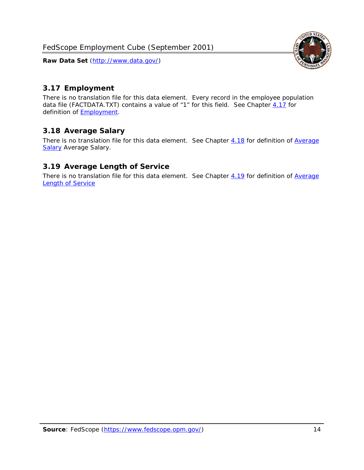

## <span id="page-14-0"></span>*3.17 Employment*

There is no translation file for this data element. Every record in the employee population data file (FACTDATA.TXT) contains a value of "1" for this field. See Chapter [4.17](#page-16-8) for definition of **Employment**.

## <span id="page-14-1"></span>*3.18 Average Salary*

There is no translation file for this data element. See Chapter [4.18](#page-17-1) for definition of [Average](#page-17-1) **[Salary](#page-17-1) [Average Salary.](#page-17-1)** 

#### <span id="page-14-2"></span>*3.19 Average Length of Service*

There is no translation file for this data element. See Chapter [4.19](#page-17-2) for definition of [Average](#page-17-2) Length of Service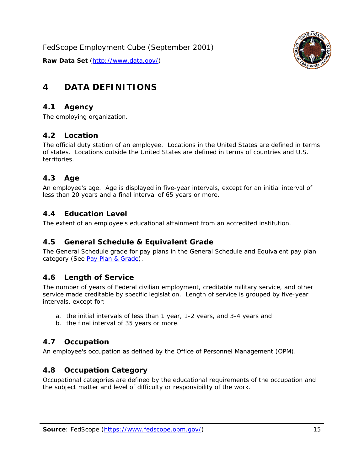

# <span id="page-15-0"></span>**4 DATA DEFINITIONS**

#### <span id="page-15-1"></span>*4.1 Agency*

The employing organization.

#### <span id="page-15-2"></span>*4.2 Location*

The official duty station of an employee. Locations in the United States are defined in terms of states. Locations outside the United States are defined in terms of countries and U.S. territories.

#### <span id="page-15-3"></span>*4.3 Age*

An employee's age. Age is displayed in five-year intervals, except for an initial interval of less than 20 years and a final interval of 65 years or more.

#### <span id="page-15-4"></span>*4.4 Education Level*

The extent of an employee's educational attainment from an accredited institution.

#### <span id="page-15-5"></span>*4.5 General Schedule & Equivalent Grade*

The General Schedule grade for pay plans in the General Schedule and Equivalent pay plan category (See [Pay Plan & Grade](#page-16-0)).

#### <span id="page-15-6"></span>*4.6 Length of Service*

The number of years of Federal civilian employment, creditable military service, and other service made creditable by specific legislation. Length of service is grouped by five-year intervals, except for:

- a. the initial intervals of less than 1 year, 1-2 years, and 3-4 years and
- b. the final interval of 35 years or more.

#### <span id="page-15-7"></span>*4.7 Occupation*

An employee's occupation as defined by the Office of Personnel Management (OPM).

#### <span id="page-15-8"></span>*4.8 Occupation Category*

Occupational categories are defined by the educational requirements of the occupation and the subject matter and level of difficulty or responsibility of the work.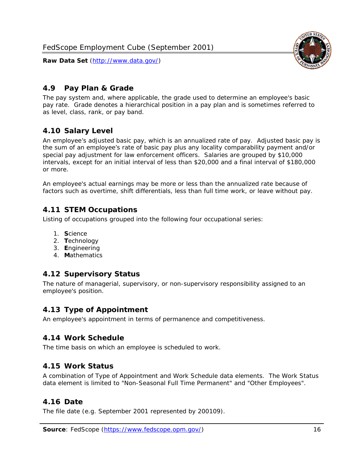<span id="page-16-0"></span>

The pay system and, where applicable, the grade used to determine an employee's basic pay rate. Grade denotes a hierarchical position in a pay plan and is sometimes referred to as level, class, rank, or pay band.

# <span id="page-16-1"></span>*4.10 Salary Level*

An employee's adjusted basic pay, which is an annualized rate of pay. Adjusted basic pay is the sum of an employee's rate of basic pay plus any locality comparability payment and/or special pay adjustment for law enforcement officers. Salaries are grouped by \$10,000 intervals, except for an initial interval of less than \$20,000 and a final interval of \$180,000 or more.

An employee's actual earnings may be more or less than the annualized rate because of factors such as overtime, shift differentials, less than full time work, or leave without pay.

## <span id="page-16-2"></span>*4.11 STEM Occupations*

Listing of occupations grouped into the following four occupational series:

- 1. **S**cience
- 2. **T**echnology
- 3. **E**ngineering
- 4. **M**athematics

#### <span id="page-16-3"></span>*4.12 Supervisory Status*

The nature of managerial, supervisory, or non-supervisory responsibility assigned to an employee's position.

#### <span id="page-16-4"></span>*4.13 Type of Appointment*

An employee's appointment in terms of permanence and competitiveness.

#### <span id="page-16-5"></span>*4.14 Work Schedule*

The time basis on which an employee is scheduled to work.

#### <span id="page-16-6"></span>*4.15 Work Status*

A combination of Type of Appointment and Work Schedule data elements. The Work Status data element is limited to "Non-Seasonal Full Time Permanent" and "Other Employees".

#### <span id="page-16-7"></span>*4.16 Date*

<span id="page-16-8"></span>The file date (e.g. September 2001 represented by 200109).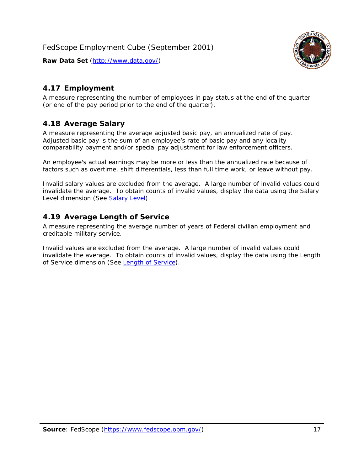

### <span id="page-17-0"></span>*4.17 Employment*

A measure representing the number of employees in pay status at the end of the quarter (or end of the pay period prior to the end of the quarter).

#### <span id="page-17-1"></span>*4.18 Average Salary*

A measure representing the average adjusted basic pay, an annualized rate of pay. Adjusted basic pay is the sum of an employee's rate of basic pay and any locality comparability payment and/or special pay adjustment for law enforcement officers.

An employee's actual earnings may be more or less than the annualized rate because of factors such as overtime, shift differentials, less than full time work, or leave without pay.

Invalid salary values are excluded from the average. A large number of invalid values could invalidate the average. To obtain counts of invalid values, display the data using the Salary Level dimension (See [Salary Level\)](#page-16-1).

#### <span id="page-17-2"></span>*4.19 Average Length of Service*

A measure representing the average number of years of Federal civilian employment and creditable military service.

Invalid values are excluded from the average. A large number of invalid values could invalidate the average. To obtain counts of invalid values, display the data using the Length of Service dimension (See [Length of Service](#page-15-6)).